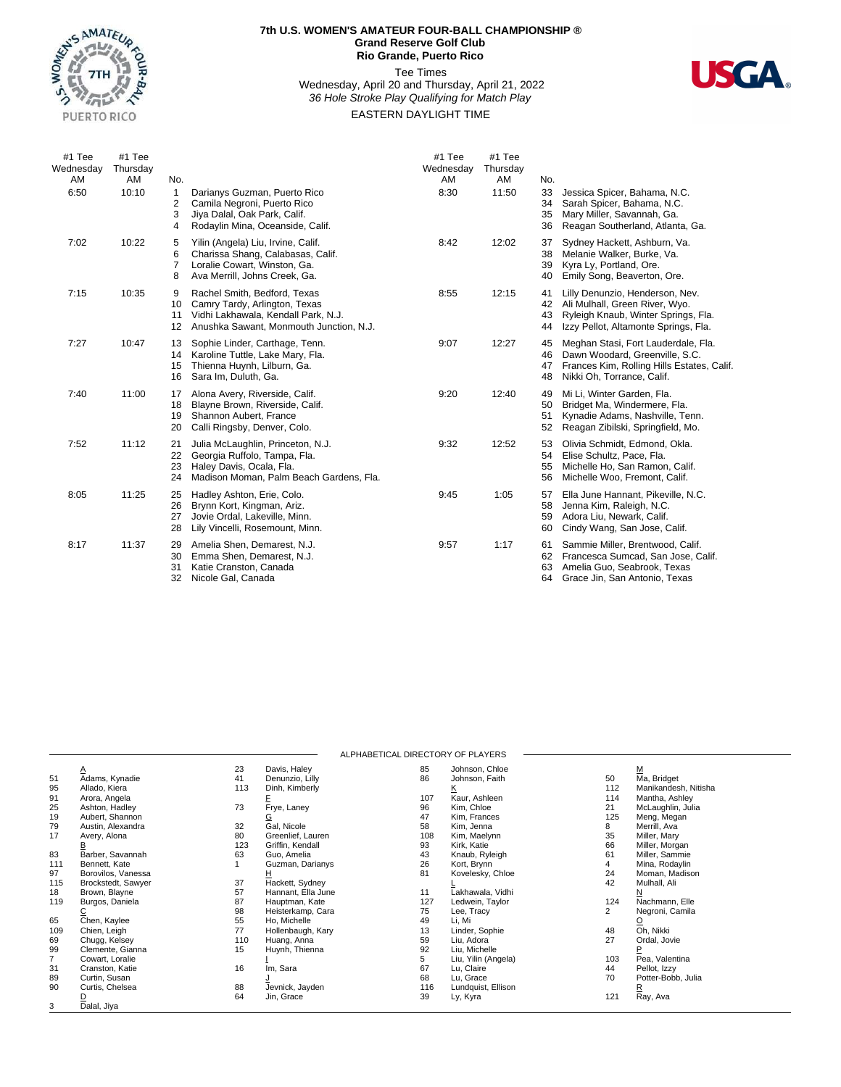

## **7th U.S. WOMEN'S AMATEUR FOUR-BALL CHAMPIONSHIP ® Grand Reserve Golf Club Rio Grande, Puerto Rico**

## Tee Times Wednesday, April 20 and Thursday, April 21, 2022 *36 Hole Stroke Play Qualifying for Match Play* EASTERN DAYLIGHT TIME



| #1 Tee<br>Wednesday<br>AM | #1 Tee<br>Thursday<br>AM | No.                           |                                                                                                                                                 | #1 Tee<br>Wednesday<br>AM | #1 Tee<br>Thursday<br>AM | No.                  |                                                                                                                                                   |
|---------------------------|--------------------------|-------------------------------|-------------------------------------------------------------------------------------------------------------------------------------------------|---------------------------|--------------------------|----------------------|---------------------------------------------------------------------------------------------------------------------------------------------------|
| 6:50                      | 10:10                    | 1<br>2<br>3<br>4              | Darianys Guzman, Puerto Rico<br>Camila Negroni, Puerto Rico<br>Jiya Dalal, Oak Park, Calif.<br>Rodaylin Mina, Oceanside, Calif.                 | 8:30                      | 11:50                    | 33<br>34<br>35<br>36 | Jessica Spicer, Bahama, N.C.<br>Sarah Spicer, Bahama, N.C.<br>Mary Miller, Savannah, Ga.<br>Reagan Southerland, Atlanta, Ga.                      |
| 7:02                      | 10:22                    | 5<br>6<br>$\overline{7}$<br>8 | Yilin (Angela) Liu, Irvine, Calif.<br>Charissa Shang, Calabasas, Calif.<br>Loralie Cowart, Winston, Ga.<br>Ava Merrill, Johns Creek, Ga.        | 8:42                      | 12:02                    | 37<br>38<br>39<br>40 | Sydney Hackett, Ashburn, Va.<br>Melanie Walker, Burke, Va.<br>Kyra Ly, Portland, Ore.<br>Emily Song, Beaverton, Ore.                              |
| 7:15                      | 10:35                    | 9<br>10<br>11<br>12           | Rachel Smith, Bedford, Texas<br>Camry Tardy, Arlington, Texas<br>Vidhi Lakhawala, Kendall Park, N.J.<br>Anushka Sawant, Monmouth Junction, N.J. | 8:55                      | 12:15                    | 41<br>42<br>43<br>44 | Lilly Denunzio, Henderson, Nev.<br>Ali Mulhall, Green River, Wyo.<br>Ryleigh Knaub, Winter Springs, Fla.<br>Izzy Pellot, Altamonte Springs, Fla.  |
| 7:27                      | 10:47                    | 13<br>14<br>15<br>16          | Sophie Linder, Carthage, Tenn.<br>Karoline Tuttle, Lake Mary, Fla.<br>Thienna Huynh, Lilburn, Ga.<br>Sara Im, Duluth, Ga.                       | 9:07                      | 12:27                    | 45<br>46<br>47<br>48 | Meghan Stasi, Fort Lauderdale, Fla.<br>Dawn Woodard, Greenville, S.C.<br>Frances Kim, Rolling Hills Estates, Calif.<br>Nikki Oh, Torrance, Calif. |
| 7:40                      | 11:00                    | 17<br>18<br>19<br>20          | Alona Avery, Riverside, Calif.<br>Blayne Brown, Riverside, Calif.<br>Shannon Aubert, France<br>Calli Ringsby, Denver, Colo.                     | 9:20                      | 12:40                    | 49<br>50<br>51<br>52 | Mi Li, Winter Garden, Fla.<br>Bridget Ma, Windermere, Fla.<br>Kynadie Adams, Nashville, Tenn.<br>Reagan Zibilski, Springfield, Mo.                |
| 7:52                      | 11:12                    | 21<br>22<br>23<br>24          | Julia McLaughlin, Princeton, N.J.<br>Georgia Ruffolo, Tampa, Fla.<br>Haley Davis, Ocala, Fla.<br>Madison Moman, Palm Beach Gardens, Fla.        | 9:32                      | 12:52                    | 53<br>54<br>55<br>56 | Olivia Schmidt, Edmond, Okla.<br>Elise Schultz, Pace, Fla.<br>Michelle Ho, San Ramon, Calif.<br>Michelle Woo, Fremont, Calif.                     |
| 8:05                      | 11:25                    | 25<br>26<br>27<br>28          | Hadley Ashton, Erie, Colo.<br>Brynn Kort, Kingman, Ariz.<br>Jovie Ordal, Lakeville, Minn.<br>Lily Vincelli, Rosemount, Minn.                    | 9:45                      | 1:05                     | 57<br>58<br>59<br>60 | Ella June Hannant, Pikeville, N.C.<br>Jenna Kim, Raleigh, N.C.<br>Adora Liu, Newark, Calif.<br>Cindy Wang, San Jose, Calif.                       |
| 8:17                      | 11:37                    | 29<br>30<br>31<br>32          | Amelia Shen, Demarest, N.J.<br>Emma Shen, Demarest, N.J.<br>Katie Cranston, Canada<br>Nicole Gal, Canada                                        | 9:57                      | 1:17                     | 61<br>62<br>63<br>64 | Sammie Miller, Brentwood, Calif.<br>Francesca Sumcad, San Jose, Calif.<br>Amelia Guo, Seabrook, Texas<br>Grace Jin, San Antonio, Texas            |

|     |                    |     |                    | ALPHABETICAL DIRECTORY OF PLAYERS |                     |     |                      |  |
|-----|--------------------|-----|--------------------|-----------------------------------|---------------------|-----|----------------------|--|
|     |                    | 23  | Davis, Haley       | 85                                | Johnson, Chloe      |     | М                    |  |
| 51  | Adams, Kynadie     | 41  | Denunzio, Lilly    | 86                                | Johnson, Faith      | 50  | Ma, Bridget          |  |
| 95  | Allado, Kiera      | 113 | Dinh, Kimberly     |                                   | <u>ĸ</u>            | 112 | Manikandesh, Nitisha |  |
| 91  | Arora, Angela      |     |                    | 107                               | Kaur, Ashleen       | 114 | Mantha, Ashley       |  |
| 25  | Ashton, Hadley     | 73  | Frye, Laney        | 96                                | Kim, Chloe          | 21  | McLaughlin, Julia    |  |
| 19  | Aubert, Shannon    |     | G                  | 47                                | Kim, Frances        | 125 | Meng, Megan          |  |
| 79  | Austin, Alexandra  | 32  | Gal. Nicole        | 58                                | Kim, Jenna          | 8   | Merrill, Ava         |  |
| 17  | Avery, Alona       | 80  | Greenlief, Lauren  | 108                               | Kim, Maelynn        | 35  | Miller, Mary         |  |
|     |                    | 123 | Griffin, Kendall   | 93                                | Kirk, Katie         | 66  | Miller, Morgan       |  |
| 83  | Barber, Savannah   | 63  | Guo, Amelia        | 43                                | Knaub, Ryleigh      | 61  | Miller, Sammie       |  |
| 111 | Bennett, Kate      |     | Guzman, Darianys   | 26                                | Kort, Brynn         | 4   | Mina, Rodaylin       |  |
| 97  | Borovilos, Vanessa |     |                    | 81                                | Kovelesky, Chloe    | 24  | Moman, Madison       |  |
| 115 | Brockstedt, Sawyer | 37  | Hackett, Sydney    |                                   |                     | 42  | Mulhall, Ali         |  |
| 18  | Brown, Blayne      | 57  | Hannant, Ella June | 11                                | Lakhawala, Vidhi    |     | N                    |  |
| 119 | Burgos, Daniela    | 87  | Hauptman, Kate     | 127                               | Ledwein, Taylor     | 124 | Nachmann, Elle       |  |
|     |                    | 98  | Heisterkamp, Cara  | 75                                | Lee, Tracy          | 2   | Negroni, Camila      |  |
| 65  | Chen, Kaylee       | 55  | Ho, Michelle       | 49                                | Li, Mi              |     | ହ                    |  |
| 109 | Chien, Leigh       | 77  | Hollenbaugh, Kary  | 13                                | Linder, Sophie      | 48  | Oh. Nikki            |  |
| 69  | Chugg, Kelsey      | 110 | Huang, Anna        | 59                                | Liu, Adora          | 27  | Ordal, Jovie         |  |
| 99  | Clemente, Gianna   | 15  | Huynh, Thienna     | 92                                | Liu, Michelle       |     |                      |  |
|     | Cowart, Loralie    |     |                    | 5                                 | Liu, Yilin (Angela) | 103 | Pea, Valentina       |  |
| 31  | Cranston, Katie    | 16  | Im, Sara           | 67                                | Lu, Claire          | 44  | Pellot, Izzy         |  |
| 89  | Curtin, Susan      |     |                    | 68                                | Lu, Grace           | 70  | Potter-Bobb, Julia   |  |
| 90  | Curtis, Chelsea    | 88  | Jevnick, Jayden    | 116                               | Lundquist, Ellison  |     |                      |  |
|     |                    | 64  | Jin, Grace         | 39                                | Ly, Kyra            | 121 | Ray, Ava             |  |
| 3   | Dalal, Jiya        |     |                    |                                   |                     |     |                      |  |